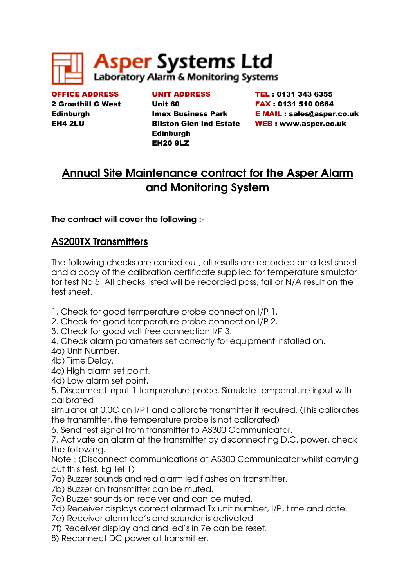

OFFICE ADDRESS 2 Groathill G West **Edinburgh** EH4 2LU

UNIT ADDRESS Unit 60 Imex Business Park Bilston Glen Ind Estate **Edinburgh** EH20 9LZ

TEL : 0131 343 6355 FAX : 0131 510 0664 E MAIL : sales@asper.co.uk WEB : www.asper.co.uk

# Annual Site Maintenance contract for the Asper Alarm and Monitoring System

# The contract will cover the following :-

# AS200TX Transmitters

The following checks are carried out, all results are recorded on a test sheet and a copy of the calibration certificate supplied for temperature simulator for test No 5. All checks listed will be recorded pass, fail or N/A result on the test sheet.

- 1. Check for good temperature probe connection I/P 1.
- 2. Check for good temperature probe connection I/P 2.
- 3. Check for good volt free connection I/P 3.

4. Check alarm parameters set correctly for equipment installed on.

4a) Unit Number.

- 4b) Time Delay.
- 4c) High alarm set point.
- 4d) Low alarm set point.

5. Disconnect input 1 temperature probe. Simulate temperature input with calibrated

simulator at 0.0C on I/P1 and calibrate transmitter if required. (This calibrates the transmitter, the temperature probe is not calibrated)

6. Send test signal from transmitter to AS300 Communicator.

7. Activate an alarm at the transmitter by disconnecting D.C. power, check the following.

Note : (Disconnect communications at AS300 Communicator whilst carrying out this test. Eg Tel 1)

7a) Buzzer sounds and red alarm led flashes on transmitter.

7b) Buzzer on transmitter can be muted.

7c) Buzzer sounds on receiver and can be muted.

7d) Receiver displays correct alarmed Tx unit number, I/P, time and date.

7e) Receiver alarm led's and sounder is activated.

7f) Receiver display and and led's in 7e can be reset.

8) Reconnect DC power at transmitter.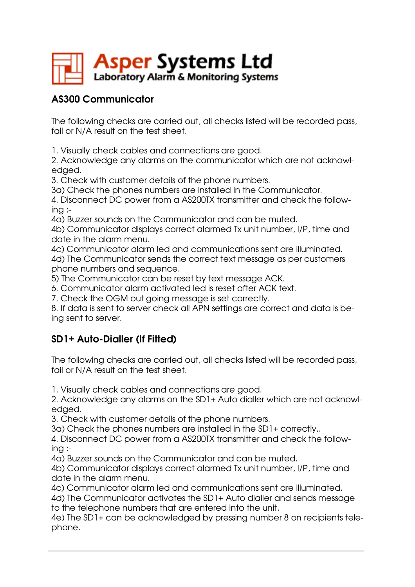

# AS300 Communicator

The following checks are carried out, all checks listed will be recorded pass, fail or N/A result on the test sheet.

1. Visually check cables and connections are good.

2. Acknowledge any alarms on the communicator which are not acknowledged.

3. Check with customer details of the phone numbers.

3a) Check the phones numbers are installed in the Communicator.

4. Disconnect DC power from a AS200TX transmitter and check the following :-

4a) Buzzer sounds on the Communicator and can be muted.

4b) Communicator displays correct alarmed Tx unit number, I/P, time and date in the alarm menu.

4c) Communicator alarm led and communications sent are illuminated. 4d) The Communicator sends the correct text message as per customers phone numbers and sequence.

5) The Communicator can be reset by text message ACK.

6. Communicator alarm activated led is reset after ACK text.

7. Check the OGM out going message is set correctly.

8. If data is sent to server check all APN settings are correct and data is being sent to server.

# SD1+ Auto-Dialler (If Fitted)

The following checks are carried out, all checks listed will be recorded pass, fail or N/A result on the test sheet.

1. Visually check cables and connections are good.

2. Acknowledge any alarms on the SD1+ Auto dialler which are not acknowledged.

3. Check with customer details of the phone numbers.

3a) Check the phones numbers are installed in the SD1+ correctly..

4. Disconnect DC power from a AS200TX transmitter and check the following :-

4a) Buzzer sounds on the Communicator and can be muted.

4b) Communicator displays correct alarmed Tx unit number, I/P, time and date in the alarm menu.

4c) Communicator alarm led and communications sent are illuminated.

4d) The Communicator activates the SD1+ Auto dialler and sends message to the telephone numbers that are entered into the unit.

4e) The SD1+ can be acknowledged by pressing number 8 on recipients telephone.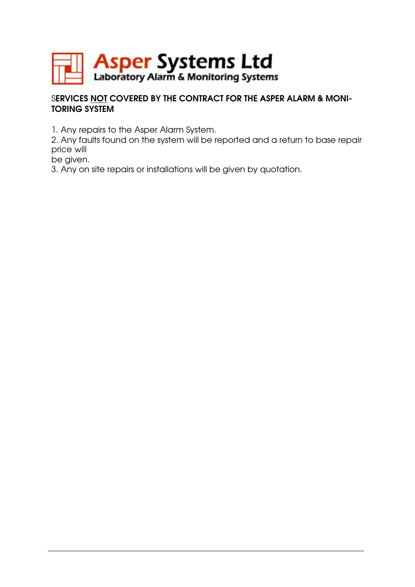

## SERVICES NOT COVERED BY THE CONTRACT FOR THE ASPER ALARM & MONI-TORING SYSTEM

1. Any repairs to the Asper Alarm System.

2. Any faults found on the system will be reported and a return to base repair price will

be given.

3. Any on site repairs or installations will be given by quotation.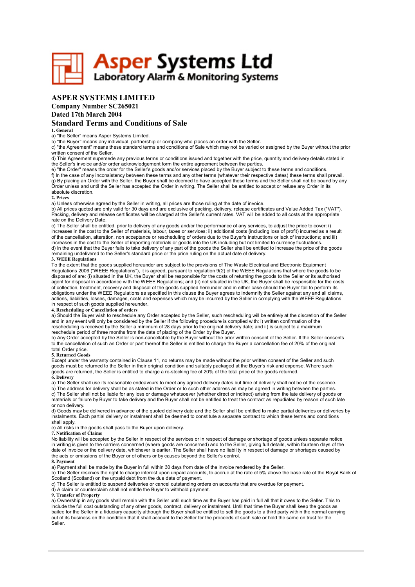

## ASPER SYSTEMS LIMITED

## Company Number SC265021

## Dated 17th March 2004

### Standard Terms and Conditions of Sale

#### 1. General

### a) "the Seller" means Asper Systems Limited.

b) "the Buyer" means any individual, partnership or company who places an order with the Seller.

c) "the Agreement" means these standard terms and conditions of Sale which may not be varied or assigned by the Buyer without the prior written consent of the Seller.

d) This Agreement supersede any previous terms or conditions issued and together with the price, quantity and delivery details stated in the Seller's invoice and/or order acknowledgement form the entire agreement between the parties.

e) "the Order" means the order for the Seller's goods and/or services placed by the Buyer subject to these terms and conditions. f) In the case of any inconsistency between these terms and any other terms (whatever their respective dates) these terms shall prevail. g) By placing an Order with the Seller, the Buyer shall be deemed to have accepted these terms and the Seller shall not be bound by any Order unless and until the Seller has accepted the Order in writing. The Seller shall be entitled to accept or refuse any Order in its absolute discretion.

#### 2. Prices

a) Unless otherwise agreed by the Seller in writing, all prices are those ruling at the date of invoice.

b) All prices quoted are only valid for 30 days and are exclusive of packing, delivery, release certificates and Value Added Tax ("VAT"). Packing, delivery and release certificates will be charged at the Seller's current rates. VAT will be added to all costs at the appropriate rate on the Delivery Date.

c) The Seller shall be entitled, prior to delivery of any goods and/or the performance of any services, to adjust the price to cover: i) increases in the cost to the Seller of materials, labour, taxes or services; ii) additional costs (including loss of profit) incurred as a result of the cancellation, alteration, non acceptance or rescheduling of orders due to the Buyer's instructions or lack of instructions; and iii) increases in the cost to the Seller of importing materials or goods into the UK including but not limited to currency fluctuations. d) In the event that the Buyer fails to take delivery of any part of the goods the Seller shall be entitled to increase the price of the goods remaining undelivered to the Seller's standard price or the price ruling on the actual date of delivery. 3. WEEE Regulations

To the extent that the goods supplied hereunder are subject to the provisions of The Waste Electrical and Electronic Equipment Regulations 2006 ("WEEE Regulations"), it is agreed, pursuant to regulation 9(2) of the WEEE Regulations that where the goods to be disposed of are: (i) situated in the UK, the Buyer shall be responsible for the costs of returning the goods to the Seller or its authorised agent for disposal in accordance with the WEEE Regulations; and (ii) not situated in the UK, the Buyer shall be responsible for the costs of collection, treatment, recovery and disposal of the goods supplied hereunder and in either case should the Buyer fail to perform its obligations under the WEEE Regulations as specified in this clause the Buyer agrees to indemnify the Seller against any and all claims, actions, liabilities, losses, damages, costs and expenses which may be incurred by the Seller in complying with the WEEE Regulations

#### in respect of such goods supplied hereunder. 4. Rescheduling or Cancellation of orders

a) Should the Buyer wish to reschedule any Order accepted by the Seller, such rescheduling will be entirely at the discretion of the Seller and in any event will only be considered by the Seller if the following procedure is complied with: i) written confirmation of the rescheduling is received by the Seller a minimum of 28 days prior to the original delivery date; and ii) is subject to a maximum reschedule period of three months from the date of placing of the Order by the Buyer.

b) Any Order accepted by the Seller is non-cancellable by the Buyer without the prior written consent of the Seller. If the Seller consents to the cancellation of such an Order or part thereof the Seller is entitled to charge the Buyer a cancellation fee of 20% of the original total Order price.

#### 5. Returned Goods

Except under the warranty contained in Clause 11, no returns may be made without the prior written consent of the Seller and such goods must be returned to the Seller in their original condition and suitably packaged at the Buyer's risk and expense. Where such goods are returned, the Seller is entitled to charge a re-stocking fee of 20% of the total price of the goods returned. 6. Delivery

a) The Seller shall use its reasonable endeavours to meet any agreed delivery dates but time of delivery shall not be of the essence. b) The address for delivery shall be as stated in the Order or to such other address as may be agreed in writing between the parties. c) The Seller shall not be liable for any loss or damage whatsoever (whether direct or indirect) arising from the late delivery of goods or materials or failure by Buyer to take delivery and the Buyer shall not be entitled to treat the contract as repudiated by reason of such late or non delivery.

d) Goods may be delivered in advance of the quoted delivery date and the Seller shall be entitled to make partial deliveries or deliveries by instalments. Each partial delivery or instalment shall be deemed to constitute a separate contract to which these terms and conditions shall apply.

e) All risks in the goods shall pass to the Buyer upon delivery.

7. Notification of Claims

No liability will be accepted by the Seller in respect of the services or in respect of damage or shortage of goods unless separate notice in writing is given to the carriers concerned (where goods are concerned) and to the Seller, giving full details, within fourteen days of the date of invoice or the delivery date, whichever is earlier. The Seller shall have no liability in respect of damage or shortages caused by the acts or omissions of the Buyer or of others or by causes beyond the Seller's control.

#### 8. Payment

a) Payment shall be made by the Buyer in full within 30 days from date of the invoice rendered by the Seller.<br>b) The Seller reserves the right to charge interest upon unpaid accounts, to accrue at the rate of 5% above the Scotland (Scotland) on the unpaid debt from the due date of payment.

c) The Seller is entitled to suspend deliveries or cancel outstanding orders on accounts that are overdue for payment.

d) A claim or counterclaim shall not entitle the Buyer to withhold payment.

9. Transfer of Property

a) Ownership in any goods shall remain with the Seller until such time as the Buyer has paid in full all that it owes to the Seller. This to include the full cost outstanding of any other goods, contract, delivery or instalment. Until that time the Buyer shall keep the goods as bailee for the Seller in a fiduciary capacity although the Buyer shall be entitled to sell the goods to a third party within the normal carrying out of its business on the condition that it shall account to the Seller for the proceeds of such sale or hold the same on trust for the Seller.